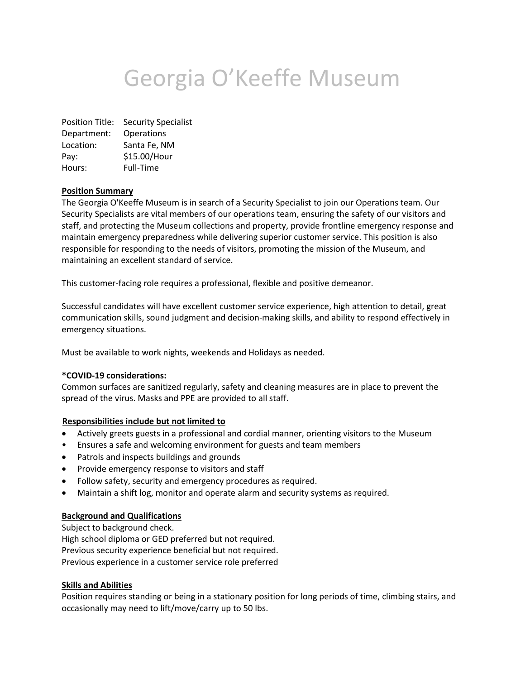# Georgia O'Keeffe Museum

Position Title: Security Specialist Department: Operations Location: Santa Fe, NM Pay: \$15.00/Hour Hours: Full-Time

### **Position Summary**

The Georgia O'Keeffe Museum is in search of a Security Specialist to join our Operations team. Our Security Specialists are vital members of our operations team, ensuring the safety of our visitors and staff, and protecting the Museum collections and property, provide frontline emergency response and maintain emergency preparedness while delivering superior customer service. This position is also responsible for responding to the needs of visitors, promoting the mission of the Museum, and maintaining an excellent standard of service.

This customer-facing role requires a professional, flexible and positive demeanor.

Successful candidates will have excellent customer service experience, high attention to detail, great communication skills, sound judgment and decision-making skills, and ability to respond effectively in emergency situations.

Must be available to work nights, weekends and Holidays as needed.

#### **\*COVID-19 considerations:**

Common surfaces are sanitized regularly, safety and cleaning measures are in place to prevent the spread of the virus. Masks and PPE are provided to all staff.

#### **Responsibilities include but not limited to**

- Actively greets guests in a professional and cordial manner, orienting visitors to the Museum
- Ensures a safe and welcoming environment for guests and team members
- Patrols and inspects buildings and grounds
- Provide emergency response to visitors and staff
- Follow safety, security and emergency procedures as required.
- Maintain a shift log, monitor and operate alarm and security systems as required.

#### **Background and Qualifications**

Subject to background check. High school diploma or GED preferred but not required. Previous security experience beneficial but not required. Previous experience in a customer service role preferred

#### **Skills and Abilities**

Position requires standing or being in a stationary position for long periods of time, climbing stairs, and occasionally may need to lift/move/carry up to 50 lbs.